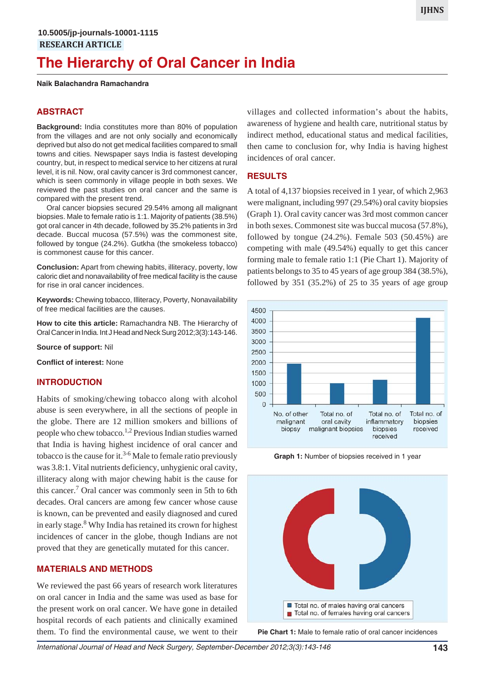# **The Hierarchy of Oral Cancer in India**

### **Naik Balachandra Ramachandra**

# **ABSTRACT**

**Background:** India constitutes more than 80% of population from the villages and are not only socially and economically deprived but also do not get medical facilities compared to small towns and cities. Newspaper says India is fastest developing country, but, in respect to medical service to her citizens at rural level, it is nil. Now, oral cavity cancer is 3rd commonest cancer, which is seen commonly in village people in both sexes. We reviewed the past studies on oral cancer and the same is compared with the present trend.

Oral cancer biopsies secured 29.54% among all malignant biopsies. Male to female ratio is 1:1. Majority of patients (38.5%) got oral cancer in 4th decade, followed by 35.2% patients in 3rd decade. Buccal mucosa (57.5%) was the commonest site, followed by tongue (24.2%). Gutkha (the smokeless tobacco) is commonest cause for this cancer.

**Conclusion:** Apart from chewing habits, illiteracy, poverty, low caloric diet and nonavailability of free medical facility is the cause for rise in oral cancer incidences.

**Keywords:** Chewing tobacco, Illiteracy, Poverty, Nonavailability of free medical facilities are the causes.

**How to cite this article:** Ramachandra NB. The Hierarchy of Oral Cancer in India. Int J Head and Neck Surg 2012;3(3):143-146.

**Source of support:** Nil

**Conflict of interest:** None

## **INTRODUCTION**

Habits of smoking/chewing tobacco along with alcohol abuse is seen everywhere, in all the sections of people in the globe. There are 12 million smokers and billions of people who chew tobacco.<sup>1,2</sup> Previous Indian studies warned that India is having highest incidence of oral cancer and tobacco is the cause for it.<sup>3-6</sup> Male to female ratio previously was 3.8:1. Vital nutrients deficiency, unhygienic oral cavity, illiteracy along with major chewing habit is the cause for this cancer.<sup>7</sup> Oral cancer was commonly seen in 5th to 6th decades. Oral cancers are among few cancer whose cause is known, can be prevented and easily diagnosed and cured in early stage.<sup>8</sup> Why India has retained its crown for highest incidences of cancer in the globe, though Indians are not proved that they are genetically mutated for this cancer.

## **MATERIALS AND METHODS**

We reviewed the past 66 years of research work literatures on oral cancer in India and the same was used as base for the present work on oral cancer. We have gone in detailed hospital records of each patients and clinically examined them. To find the environmental cause, we went to their

villages and collected information's about the habits, awareness of hygiene and health care, nutritional status by indirect method, educational status and medical facilities, then came to conclusion for, why India is having highest incidences of oral cancer.

## **RESULTS**

A total of 4,137 biopsies received in 1 year, of which 2,963 were malignant, including 997 (29.54%) oral cavity biopsies (Graph 1). Oral cavity cancer was 3rd most common cancer in both sexes. Commonest site was buccal mucosa (57.8%), followed by tongue (24.2%). Female 503 (50.45%) are competing with male (49.54%) equally to get this cancer forming male to female ratio 1:1 (Pie Chart 1). Majority of patients belongs to 35 to 45 years of age group 384 (38.5%), followed by  $351$   $(35.2\%)$  of  $25$  to  $35$  years of age group



**Graph 1:** Number of biopsies received in 1 year



**Pie Chart 1:** Male to female ratio of oral cancer incidences

*International Journal of Head and Neck Surgery, September-December 2012;3(3):143-146* **143**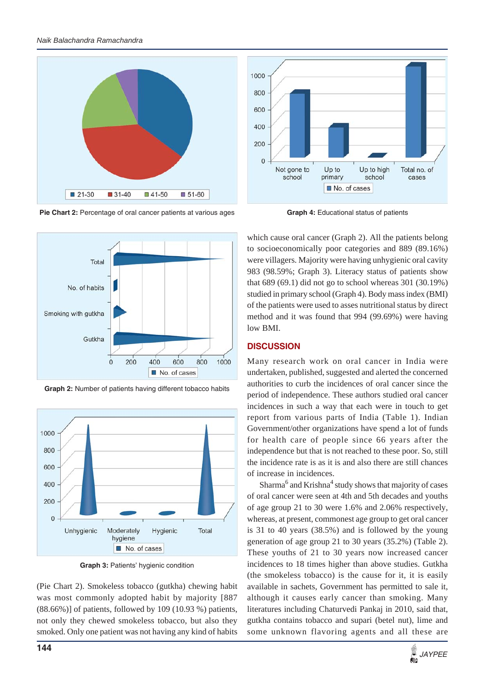





**Graph 4:** Educational status of patients



**Graph 2:** Number of patients having different tobacco habits



**Graph 3:** Patients' hygienic condition

(Pie Chart 2). Smokeless tobacco (gutkha) chewing habit was most commonly adopted habit by majority [887 (88.66%)] of patients, followed by 109 (10.93 %) patients, not only they chewed smokeless tobacco, but also they smoked. Only one patient was not having any kind of habits

which cause oral cancer (Graph 2). All the patients belong to socioeconomically poor categories and 889 (89.16%) were villagers. Majority were having unhygienic oral cavity 983 (98.59%; Graph 3). Literacy status of patients show that 689 (69.1) did not go to school whereas 301 (30.19%) studied in primary school (Graph 4). Body mass index (BMI) of the patients were used to asses nutritional status by direct method and it was found that 994 (99.69%) were having low BMI.

# **DISCUSSION**

Many research work on oral cancer in India were undertaken, published, suggested and alerted the concerned authorities to curb the incidences of oral cancer since the period of independence. These authors studied oral cancer incidences in such a way that each were in touch to get report from various parts of India (Table 1). Indian Government/other organizations have spend a lot of funds for health care of people since 66 years after the independence but that is not reached to these poor. So, still the incidence rate is as it is and also there are still chances of increase in incidences.

Sharma<sup>6</sup> and Krishna<sup>4</sup> study shows that majority of cases of oral cancer were seen at 4th and 5th decades and youths of age group 21 to 30 were 1.6% and 2.06% respectively, whereas, at present, commonest age group to get oral cancer is 31 to 40 years (38.5%) and is followed by the young generation of age group 21 to 30 years (35.2%) (Table 2). These youths of 21 to 30 years now increased cancer incidences to 18 times higher than above studies. Gutkha (the smokeless tobacco) is the cause for it, it is easily available in sachets, Government has permitted to sale it, although it causes early cancer than smoking. Many literatures including Chaturvedi Pankaj in 2010, said that, gutkha contains tobacco and supari (betel nut), lime and some unknown flavoring agents and all these are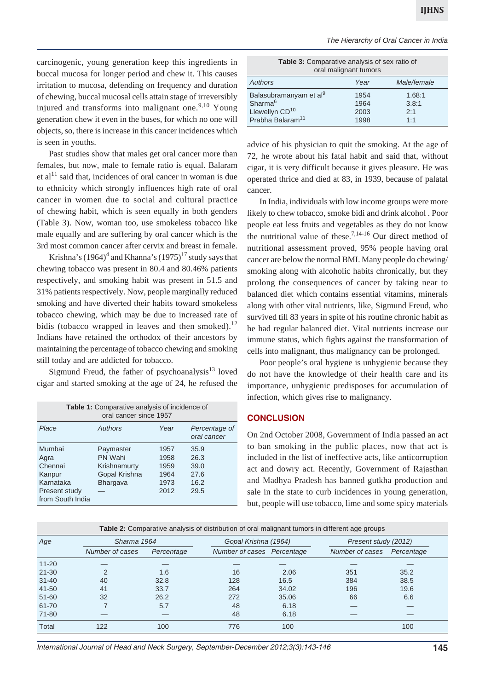carcinogenic, young generation keep this ingredients in buccal mucosa for longer period and chew it. This causes irritation to mucosa, defending on frequency and duration of chewing, buccal mucosal cells attain stage of irreversibly injured and transforms into malignant one.<sup>9,10</sup> Young generation chew it even in the buses, for which no one will objects, so, there is increase in this cancer incidences which is seen in youths.

Past studies show that males get oral cancer more than females, but now, male to female ratio is equal. Balaram et al<sup>11</sup> said that, incidences of oral cancer in woman is due to ethnicity which strongly influences high rate of oral cancer in women due to social and cultural practice of chewing habit, which is seen equally in both genders (Table 3). Now, woman too, use smokeless tobacco like male equally and are suffering by oral cancer which is the 3rd most common cancer after cervix and breast in female.

Krishna's  $(1964)^4$  and Khanna's  $(1975)^{17}$  study says that chewing tobacco was present in 80.4 and 80.46% patients respectively, and smoking habit was present in 51.5 and 31% patients respectively. Now, people marginally reduced smoking and have diverted their habits toward smokeless tobacco chewing, which may be due to increased rate of bidis (tobacco wrapped in leaves and then smoked). $^{12}$ Indians have retained the orthodox of their ancestors by maintaining the percentage of tobacco chewing and smoking still today and are addicted for tobacco.

Sigmund Freud, the father of psychoanalysis $13$  loved cigar and started smoking at the age of 24, he refused the

| <b>Table 1:</b> Comparative analysis of incidence of<br>oral cancer since 1957        |                                                                   |                                              |                                              |  |  |  |
|---------------------------------------------------------------------------------------|-------------------------------------------------------------------|----------------------------------------------|----------------------------------------------|--|--|--|
| Place                                                                                 | Authors                                                           | Year                                         | Percentage of<br>oral cancer                 |  |  |  |
| Mumbai<br>Agra<br>Chennai<br>Kanpur<br>Karnataka<br>Present study<br>from South India | Paymaster<br>PN Wahi<br>Krishnamurty<br>Gopal Krishna<br>Bhargava | 1957<br>1958<br>1959<br>1964<br>1973<br>2012 | 35.9<br>26.3<br>39.0<br>27.6<br>16.2<br>29.5 |  |  |  |

| <b>Table 3:</b> Comparative analysis of sex ratio of<br>oral malignant tumors |      |             |  |  |  |  |  |
|-------------------------------------------------------------------------------|------|-------------|--|--|--|--|--|
| Authors                                                                       | Year | Male/female |  |  |  |  |  |
| Balasubramanyam et al <sup>9</sup>                                            | 1954 | 1.68:1      |  |  |  |  |  |
| Sharma <sup>6</sup>                                                           | 1964 | 3.8:1       |  |  |  |  |  |
| Llewellyn CD <sup>10</sup>                                                    | 2003 | 2:1         |  |  |  |  |  |
| Prabha Balaram <sup>11</sup>                                                  | 1998 | 1:1         |  |  |  |  |  |

advice of his physician to quit the smoking. At the age of 72, he wrote about his fatal habit and said that, without cigar, it is very difficult because it gives pleasure. He was operated thrice and died at 83, in 1939, because of palatal cancer.

In India, individuals with low income groups were more likely to chew tobacco, smoke bidi and drink alcohol . Poor people eat less fruits and vegetables as they do not know the nutritional value of these.<sup>7,14-16</sup> Our direct method of nutritional assessment proved, 95% people having oral cancer are below the normal BMI. Many people do chewing/ smoking along with alcoholic habits chronically, but they prolong the consequences of cancer by taking near to balanced diet which contains essential vitamins, minerals along with other vital nutrients, like, Sigmund Freud, who survived till 83 years in spite of his routine chronic habit as he had regular balanced diet. Vital nutrients increase our immune status, which fights against the transformation of cells into malignant, thus malignancy can be prolonged.

Poor people's oral hygiene is unhygienic because they do not have the knowledge of their health care and its importance, unhygienic predisposes for accumulation of infection, which gives rise to malignancy.

#### **CONCLUSION**

On 2nd October 2008, Government of India passed an act to ban smoking in the public places, now that act is included in the list of ineffective acts, like anticorruption act and dowry act. Recently, Government of Rajasthan and Madhya Pradesh has banned gutkha production and sale in the state to curb incidences in young generation, but, people will use tobacco, lime and some spicy materials

| <b>Table 2:</b> Comparative analysis of distribution of oral malignant tumors in different age groups |                 |            |                            |       |                      |            |  |  |  |
|-------------------------------------------------------------------------------------------------------|-----------------|------------|----------------------------|-------|----------------------|------------|--|--|--|
| Age                                                                                                   | Sharma 1964     |            | Gopal Krishna (1964)       |       | Present study (2012) |            |  |  |  |
|                                                                                                       | Number of cases | Percentage | Number of cases Percentage |       | Number of cases      | Percentage |  |  |  |
| $11 - 20$                                                                                             |                 |            |                            |       |                      |            |  |  |  |
| $21 - 30$                                                                                             | $\mathcal{P}$   | 1.6        | 16                         | 2.06  | 351                  | 35.2       |  |  |  |
| $31 - 40$                                                                                             | 40              | 32.8       | 128                        | 16.5  | 384                  | 38.5       |  |  |  |
| $41 - 50$                                                                                             | 41              | 33.7       | 264                        | 34.02 | 196                  | 19.6       |  |  |  |
| $51 - 60$                                                                                             | 32              | 26.2       | 272                        | 35.06 | 66                   | 6.6        |  |  |  |
| 61-70                                                                                                 |                 | 5.7        | 48                         | 6.18  |                      |            |  |  |  |
| 71-80                                                                                                 |                 |            | 48                         | 6.18  |                      |            |  |  |  |
| Total                                                                                                 | 122             | 100        | 776                        | 100   |                      | 100        |  |  |  |

*International Journal of Head and Neck Surgery, September-December 2012;3(3):143-146* **145**